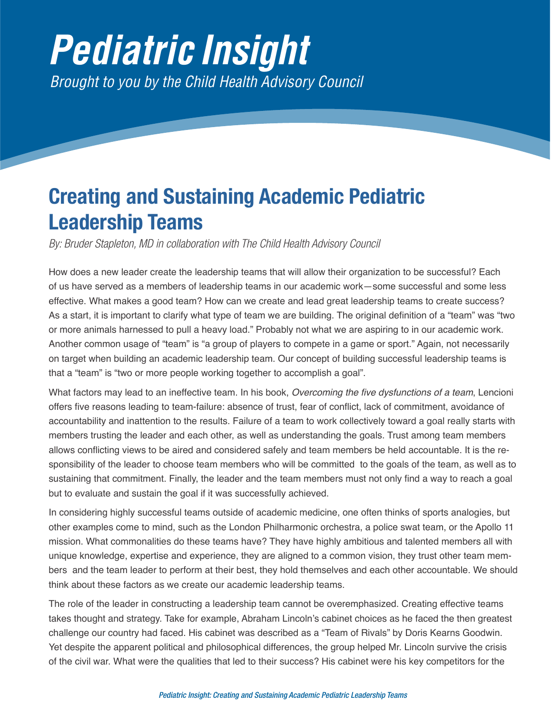## *Pediatric Insight Brought to you by the Child Health Advisory Council*

## **Creating and Sustaining Academic Pediatric Leadership Teams**

*By: Bruder Stapleton, MD in collaboration with The Child Health Advisory Council*

How does a new leader create the leadership teams that will allow their organization to be successful? Each of us have served as a members of leadership teams in our academic work—some successful and some less effective. What makes a good team? How can we create and lead great leadership teams to create success? As a start, it is important to clarify what type of team we are building. The original definition of a "team" was "two or more animals harnessed to pull a heavy load." Probably not what we are aspiring to in our academic work. Another common usage of "team" is "a group of players to compete in a game or sport." Again, not necessarily on target when building an academic leadership team. Our concept of building successful leadership teams is that a "team" is "two or more people working together to accomplish a goal".

What factors may lead to an ineffective team. In his book, Overcoming the five dysfunctions of a team, Lencioni offers five reasons leading to team-failure: absence of trust, fear of conflict, lack of commitment, avoidance of accountability and inattention to the results. Failure of a team to work collectively toward a goal really starts with members trusting the leader and each other, as well as understanding the goals. Trust among team members allows conflicting views to be aired and considered safely and team members be held accountable. It is the responsibility of the leader to choose team members who will be committed to the goals of the team, as well as to sustaining that commitment. Finally, the leader and the team members must not only find a way to reach a goal but to evaluate and sustain the goal if it was successfully achieved.

In considering highly successful teams outside of academic medicine, one often thinks of sports analogies, but other examples come to mind, such as the London Philharmonic orchestra, a police swat team, or the Apollo 11 mission. What commonalities do these teams have? They have highly ambitious and talented members all with unique knowledge, expertise and experience, they are aligned to a common vision, they trust other team members and the team leader to perform at their best, they hold themselves and each other accountable. We should think about these factors as we create our academic leadership teams.

The role of the leader in constructing a leadership team cannot be overemphasized. Creating effective teams takes thought and strategy. Take for example, Abraham Lincoln's cabinet choices as he faced the then greatest challenge our country had faced. His cabinet was described as a "Team of Rivals" by Doris Kearns Goodwin. Yet despite the apparent political and philosophical differences, the group helped Mr. Lincoln survive the crisis of the civil war. What were the qualities that led to their success? His cabinet were his key competitors for the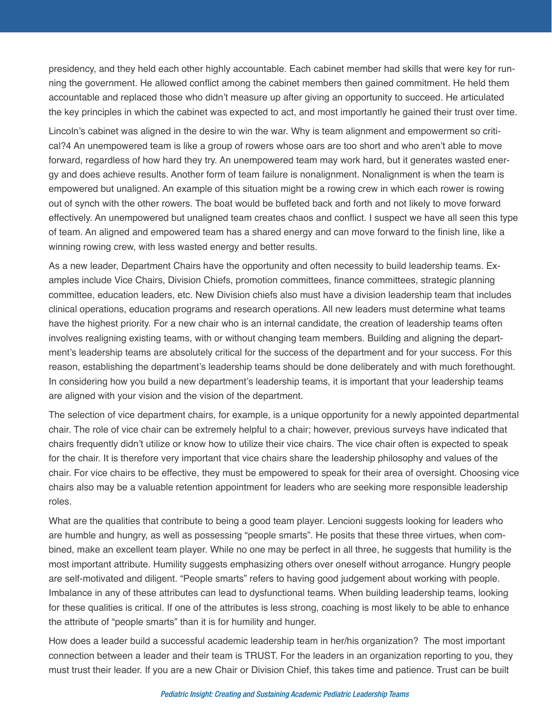presidency, and they held each other highly accountable. Each cabinet member had skills that were key for running the government. He allowed conflict among the cabinet members then gained commitment. He held them accountable and replaced those who didn't measure up after giving an opportunity to succeed. He articulated the key principles in which the cabinet was expected to act, and most importantly he gained their trust over time.

Lincoln's cabinet was aligned in the desire to win the war. Why is team alignment and empowerment so critical?4 An unempowered team is like a group of rowers whose oars are too short and who aren't able to move forward, regardless of how hard they try. An unempowered team may work hard, but it generates wasted energy and does achieve results. Another form of team failure is nonalignment. Nonalignment is when the team is empowered but unaligned. An example of this situation might be a rowing crew in which each rower is rowing out of synch with the other rowers. The boat would be buffeted back and forth and not likely to move forward effectively. An unempowered but unaligned team creates chaos and conflict. I suspect we have all seen this type of team. An aligned and empowered team has a shared energy and can move forward to the finish line, like a winning rowing crew, with less wasted energy and better results.

As a new leader, Department Chairs have the opportunity and often necessity to build leadership teams. Examples include Vice Chairs, Division Chiefs, promotion committees, finance committees, strategic planning committee, education leaders, etc. New Division chiefs also must have a division leadership team that includes clinical operations, education programs and research operations. All new leaders must determine what teams have the highest priority. For a new chair who is an internal candidate, the creation of leadership teams often involves realigning existing teams, with or without changing team members. Building and aligning the department's leadership teams are absolutely critical for the success of the department and for your success. For this reason, establishing the department's leadership teams should be done deliberately and with much forethought. In considering how you build a new department's leadership teams, it is important that your leadership teams are aligned with your vision and the vision of the department.

The selection of vice department chairs, for example, is a unique opportunity for a newly appointed departmental chair. The role of vice chair can be extremely helpful to a chair; however, previous surveys have indicated that chairs frequently didn't utilize or know how to utilize their vice chairs. The vice chair often is expected to speak for the chair. It is therefore very important that vice chairs share the leadership philosophy and values of the chair. For vice chairs to be effective, they must be empowered to speak for their area of oversight. Choosing vice chairs also may be a valuable retention appointment for leaders who are seeking more responsible leadership roles.

What are the qualities that contribute to being a good team player. Lencioni suggests looking for leaders who are humble and hungry, as well as possessing "people smarts". He posits that these three virtues, when combined, make an excellent team player. While no one may be perfect in all three, he suggests that humility is the most important attribute. Humility suggests emphasizing others over oneself without arrogance. Hungry people are self-motivated and diligent. "People smarts" refers to having good judgement about working with people. Imbalance in any of these attributes can lead to dysfunctional teams. When building leadership teams, looking for these qualities is critical. If one of the attributes is less strong, coaching is most likely to be able to enhance the attribute of "people smarts" than it is for humility and hunger.

How does a leader build a successful academic leadership team in her/his organization? The most important connection between a leader and their team is TRUST. For the leaders in an organization reporting to you, they must trust their leader. If you are a new Chair or Division Chief, this takes time and patience. Trust can be built